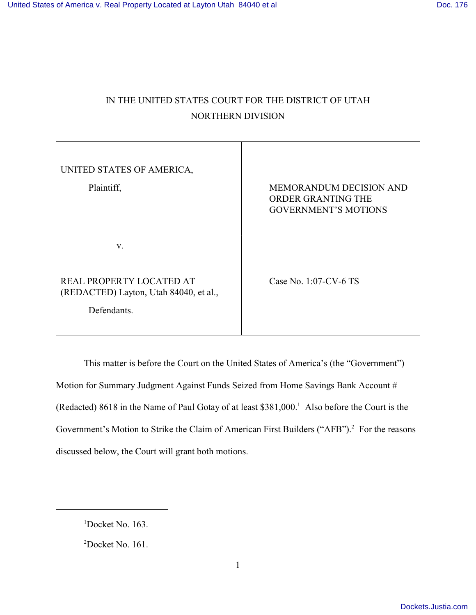# IN THE UNITED STATES COURT FOR THE DISTRICT OF UTAH NORTHERN DIVISION

| UNITED STATES OF AMERICA,<br>Plaintiff,                                           | <b>MEMORANDUM DECISION AND</b><br>ORDER GRANTING THE<br><b>GOVERNMENT'S MOTIONS</b> |
|-----------------------------------------------------------------------------------|-------------------------------------------------------------------------------------|
| V.                                                                                |                                                                                     |
| REAL PROPERTY LOCATED AT<br>(REDACTED) Layton, Utah 84040, et al.,<br>Defendants. | Case No. 1:07-CV-6 TS                                                               |

This matter is before the Court on the United States of America's (the "Government") Motion for Summary Judgment Against Funds Seized from Home Savings Bank Account # (Redacted) 8618 in the Name of Paul Gotay of at least  $$381,000$ .<sup>1</sup> Also before the Court is the Government's Motion to Strike the Claim of American First Builders ("AFB").<sup>2</sup> For the reasons discussed below, the Court will grant both motions.

 $1$ Docket No. 163.

 $2$ Docket No. 161.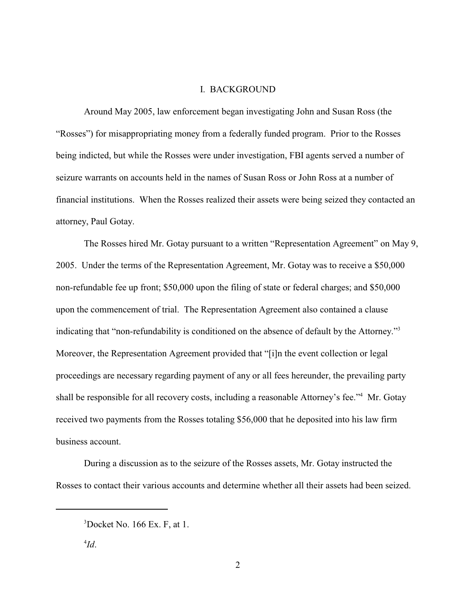#### I. BACKGROUND

Around May 2005, law enforcement began investigating John and Susan Ross (the "Rosses") for misappropriating money from a federally funded program. Prior to the Rosses being indicted, but while the Rosses were under investigation, FBI agents served a number of seizure warrants on accounts held in the names of Susan Ross or John Ross at a number of financial institutions. When the Rosses realized their assets were being seized they contacted an attorney, Paul Gotay.

The Rosses hired Mr. Gotay pursuant to a written "Representation Agreement" on May 9, 2005. Under the terms of the Representation Agreement, Mr. Gotay was to receive a \$50,000 non-refundable fee up front; \$50,000 upon the filing of state or federal charges; and \$50,000 upon the commencement of trial. The Representation Agreement also contained a clause indicating that "non-refundability is conditioned on the absence of default by the Attorney."<sup>3</sup> Moreover, the Representation Agreement provided that "[i]n the event collection or legal proceedings are necessary regarding payment of any or all fees hereunder, the prevailing party shall be responsible for all recovery costs, including a reasonable Attorney's fee."<sup>4</sup> Mr. Gotay received two payments from the Rosses totaling \$56,000 that he deposited into his law firm business account.

During a discussion as to the seizure of the Rosses assets, Mr. Gotay instructed the Rosses to contact their various accounts and determine whether all their assets had been seized.

 $3$ Docket No. 166 Ex. F, at 1.

 $^{4}Id.$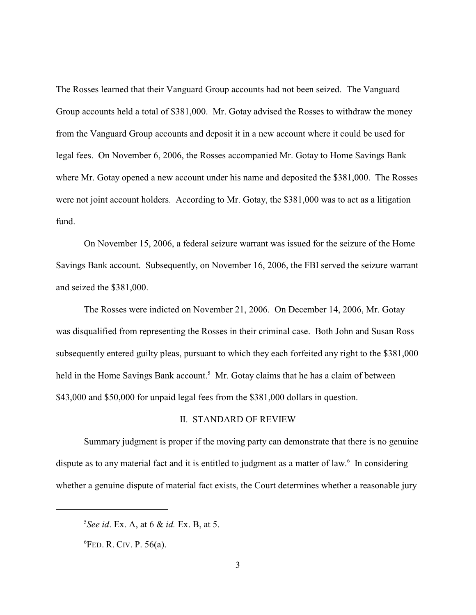The Rosses learned that their Vanguard Group accounts had not been seized. The Vanguard Group accounts held a total of \$381,000. Mr. Gotay advised the Rosses to withdraw the money from the Vanguard Group accounts and deposit it in a new account where it could be used for legal fees. On November 6, 2006, the Rosses accompanied Mr. Gotay to Home Savings Bank where Mr. Gotay opened a new account under his name and deposited the \$381,000. The Rosses were not joint account holders. According to Mr. Gotay, the \$381,000 was to act as a litigation fund.

On November 15, 2006, a federal seizure warrant was issued for the seizure of the Home Savings Bank account. Subsequently, on November 16, 2006, the FBI served the seizure warrant and seized the \$381,000.

The Rosses were indicted on November 21, 2006. On December 14, 2006, Mr. Gotay was disqualified from representing the Rosses in their criminal case. Both John and Susan Ross subsequently entered guilty pleas, pursuant to which they each forfeited any right to the \$381,000 held in the Home Savings Bank account.<sup>5</sup> Mr. Gotay claims that he has a claim of between \$43,000 and \$50,000 for unpaid legal fees from the \$381,000 dollars in question.

### II. STANDARD OF REVIEW

Summary judgment is proper if the moving party can demonstrate that there is no genuine dispute as to any material fact and it is entitled to judgment as a matter of law. $<sup>6</sup>$  In considering</sup> whether a genuine dispute of material fact exists, the Court determines whether a reasonable jury

*See id.* Ex. A, at 6 & *id.* Ex. B, at 5.

 ${}^{6}$ FED. R. CIV. P. 56(a).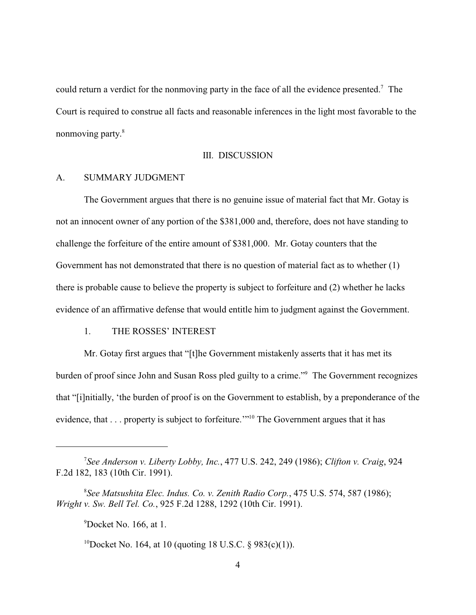could return a verdict for the nonmoving party in the face of all the evidence presented.<sup>7</sup> The Court is required to construe all facts and reasonable inferences in the light most favorable to the nonmoving party.<sup>8</sup>

#### III. DISCUSSION

#### A. SUMMARY JUDGMENT

The Government argues that there is no genuine issue of material fact that Mr. Gotay is not an innocent owner of any portion of the \$381,000 and, therefore, does not have standing to challenge the forfeiture of the entire amount of \$381,000. Mr. Gotay counters that the Government has not demonstrated that there is no question of material fact as to whether (1) there is probable cause to believe the property is subject to forfeiture and (2) whether he lacks evidence of an affirmative defense that would entitle him to judgment against the Government.

#### 1. THE ROSSES' INTEREST

Mr. Gotay first argues that "[t]he Government mistakenly asserts that it has met its burden of proof since John and Susan Ross pled guilty to a crime."<sup>9</sup> The Government recognizes that "[i]nitially, 'the burden of proof is on the Government to establish, by a preponderance of the evidence, that  $\ldots$  property is subject to forfeiture."<sup>10</sup> The Government argues that it has

*See Anderson v. Liberty Lobby, Inc.*, 477 U.S. 242, 249 (1986); *Clifton v. Craig*, 924 <sup>7</sup> F.2d 182, 183 (10th Cir. 1991).

*See Matsushita Elec. Indus. Co. v. Zenith Radio Corp.*, 475 U.S. 574, 587 (1986); <sup>8</sup> *Wright v. Sw. Bell Tel. Co.*, 925 F.2d 1288, 1292 (10th Cir. 1991).

 $^9$ Docket No. 166, at 1.

<sup>&</sup>lt;sup>10</sup>Docket No. 164, at 10 (quoting 18 U.S.C.  $\frac{6}{983(c)(1)}$ ).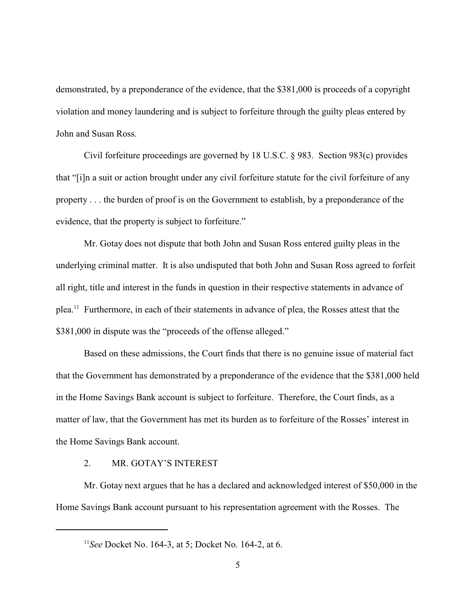demonstrated, by a preponderance of the evidence, that the \$381,000 is proceeds of a copyright violation and money laundering and is subject to forfeiture through the guilty pleas entered by John and Susan Ross.

Civil forfeiture proceedings are governed by 18 U.S.C. § 983. Section 983(c) provides that "[i]n a suit or action brought under any civil forfeiture statute for the civil forfeiture of any property . . . the burden of proof is on the Government to establish, by a preponderance of the evidence, that the property is subject to forfeiture."

Mr. Gotay does not dispute that both John and Susan Ross entered guilty pleas in the underlying criminal matter. It is also undisputed that both John and Susan Ross agreed to forfeit all right, title and interest in the funds in question in their respective statements in advance of  $p$ lea.<sup>11</sup> Furthermore, in each of their statements in advance of plea, the Rosses attest that the \$381,000 in dispute was the "proceeds of the offense alleged."

Based on these admissions, the Court finds that there is no genuine issue of material fact that the Government has demonstrated by a preponderance of the evidence that the \$381,000 held in the Home Savings Bank account is subject to forfeiture. Therefore, the Court finds, as a matter of law, that the Government has met its burden as to forfeiture of the Rosses' interest in the Home Savings Bank account.

#### 2. MR. GOTAY'S INTEREST

Mr. Gotay next argues that he has a declared and acknowledged interest of \$50,000 in the Home Savings Bank account pursuant to his representation agreement with the Rosses. The

<sup>&</sup>lt;sup>11</sup> See Docket No. 164-3, at 5; Docket No. 164-2, at 6.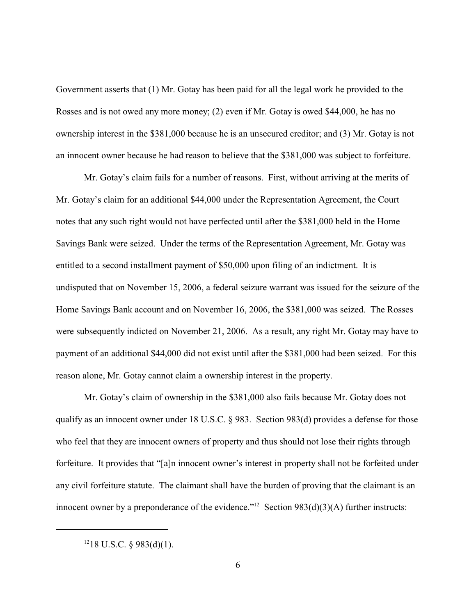Government asserts that (1) Mr. Gotay has been paid for all the legal work he provided to the Rosses and is not owed any more money; (2) even if Mr. Gotay is owed \$44,000, he has no ownership interest in the \$381,000 because he is an unsecured creditor; and (3) Mr. Gotay is not an innocent owner because he had reason to believe that the \$381,000 was subject to forfeiture.

Mr. Gotay's claim fails for a number of reasons. First, without arriving at the merits of Mr. Gotay's claim for an additional \$44,000 under the Representation Agreement, the Court notes that any such right would not have perfected until after the \$381,000 held in the Home Savings Bank were seized. Under the terms of the Representation Agreement, Mr. Gotay was entitled to a second installment payment of \$50,000 upon filing of an indictment. It is undisputed that on November 15, 2006, a federal seizure warrant was issued for the seizure of the Home Savings Bank account and on November 16, 2006, the \$381,000 was seized. The Rosses were subsequently indicted on November 21, 2006. As a result, any right Mr. Gotay may have to payment of an additional \$44,000 did not exist until after the \$381,000 had been seized. For this reason alone, Mr. Gotay cannot claim a ownership interest in the property.

Mr. Gotay's claim of ownership in the \$381,000 also fails because Mr. Gotay does not qualify as an innocent owner under 18 U.S.C. § 983. Section 983(d) provides a defense for those who feel that they are innocent owners of property and thus should not lose their rights through forfeiture. It provides that "[a]n innocent owner's interest in property shall not be forfeited under any civil forfeiture statute. The claimant shall have the burden of proving that the claimant is an innocent owner by a preponderance of the evidence."<sup>12</sup> Section  $983(d)(3)(A)$  further instructs:

 $1218$  U.S.C. § 983(d)(1).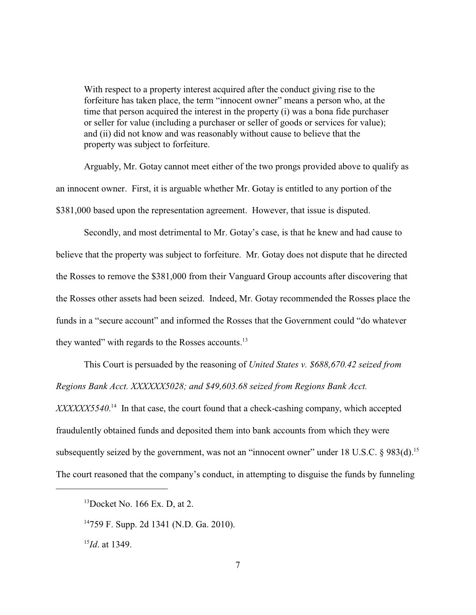With respect to a property interest acquired after the conduct giving rise to the forfeiture has taken place, the term "innocent owner" means a person who, at the time that person acquired the interest in the property (i) was a bona fide purchaser or seller for value (including a purchaser or seller of goods or services for value); and (ii) did not know and was reasonably without cause to believe that the property was subject to forfeiture.

Arguably, Mr. Gotay cannot meet either of the two prongs provided above to qualify as an innocent owner. First, it is arguable whether Mr. Gotay is entitled to any portion of the \$381,000 based upon the representation agreement. However, that issue is disputed.

 Secondly, and most detrimental to Mr. Gotay's case, is that he knew and had cause to believe that the property was subject to forfeiture. Mr. Gotay does not dispute that he directed the Rosses to remove the \$381,000 from their Vanguard Group accounts after discovering that the Rosses other assets had been seized. Indeed, Mr. Gotay recommended the Rosses place the funds in a "secure account" and informed the Rosses that the Government could "do whatever they wanted" with regards to the Rosses accounts.<sup>13</sup>

This Court is persuaded by the reasoning of *United States v. \$688,670.42 seized from Regions Bank Acct. XXXXXX5028; and \$49,603.68 seized from Regions Bank Acct.*

XXXXX5540.<sup>14</sup> In that case, the court found that a check-cashing company, which accepted fraudulently obtained funds and deposited them into bank accounts from which they were subsequently seized by the government, was not an "innocent owner" under 18 U.S.C.  $\S$  983(d).<sup>15</sup> The court reasoned that the company's conduct, in attempting to disguise the funds by funneling

 $13$ Docket No. 166 Ex. D, at 2.

 $14759$  F. Supp. 2d 1341 (N.D. Ga. 2010).

 $^{15}$ *Id*. at 1349.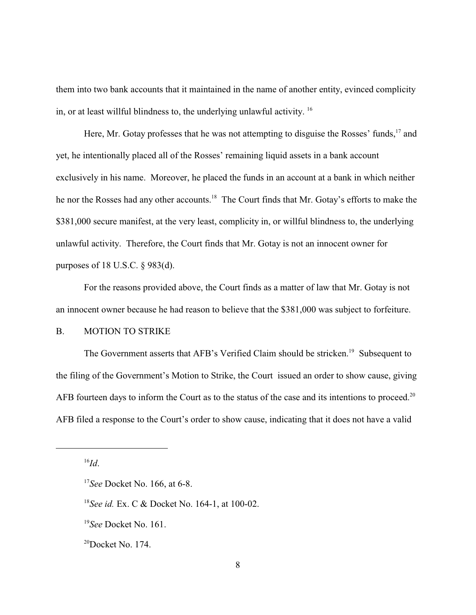them into two bank accounts that it maintained in the name of another entity, evinced complicity in, or at least willful blindness to, the underlying unlawful activity. <sup>16</sup>

Here, Mr. Gotay professes that he was not attempting to disguise the Rosses' funds,  $17$  and yet, he intentionally placed all of the Rosses' remaining liquid assets in a bank account exclusively in his name. Moreover, he placed the funds in an account at a bank in which neither he nor the Rosses had any other accounts.<sup>18</sup> The Court finds that Mr. Gotay's efforts to make the \$381,000 secure manifest, at the very least, complicity in, or willful blindness to, the underlying unlawful activity. Therefore, the Court finds that Mr. Gotay is not an innocent owner for purposes of 18 U.S.C. § 983(d).

For the reasons provided above, the Court finds as a matter of law that Mr. Gotay is not an innocent owner because he had reason to believe that the \$381,000 was subject to forfeiture.

#### B. MOTION TO STRIKE

The Government asserts that AFB's Verified Claim should be stricken.<sup>19</sup> Subsequent to the filing of the Government's Motion to Strike, the Court issued an order to show cause, giving AFB fourteen days to inform the Court as to the status of the case and its intentions to proceed.<sup>20</sup> AFB filed a response to the Court's order to show cause, indicating that it does not have a valid

 $^{16}Id.$ 

<sup>&</sup>lt;sup>17</sup>See Docket No. 166, at 6-8.

<sup>&</sup>lt;sup>18</sup>See *id.* Ex. C & Docket No. 164-1, at 100-02.

<sup>&</sup>lt;sup>19</sup>See Docket No. 161.

 $^{20}$ Docket No. 174.